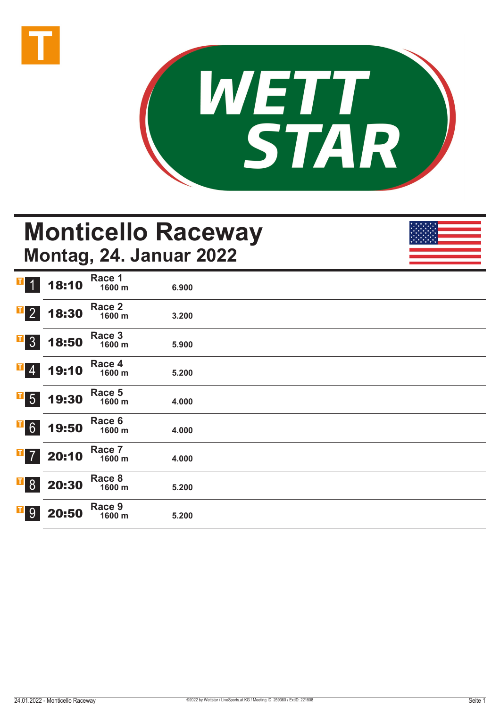



## **Monticello Raceway Montag, 24. Januar 2022**

| $T$ 1                      | 18:10 | Race 1<br>1600 m | 6.900 |  |  |
|----------------------------|-------|------------------|-------|--|--|
| $\overline{1}$ 2           | 18:30 | Race 2<br>1600 m | 3.200 |  |  |
| $\overline{1}$ 3           | 18:50 | Race 3<br>1600 m | 5.900 |  |  |
| $\mathbf{F}$ 4             | 19:10 | Race 4<br>1600 m | 5.200 |  |  |
| $\overline{\phantom{0}}$ 5 | 19:30 | Race 5<br>1600 m | 4.000 |  |  |
| $\overline{1}6$            | 19:50 | Race 6<br>1600 m | 4.000 |  |  |
| $\overline{1}$ 7           | 20:10 | Race 7<br>1600 m | 4.000 |  |  |
| $\overline{1}8$            | 20:30 | Race 8<br>1600 m | 5.200 |  |  |
| $\overline{1}$ 9           | 20:50 | Race 9<br>1600 m | 5.200 |  |  |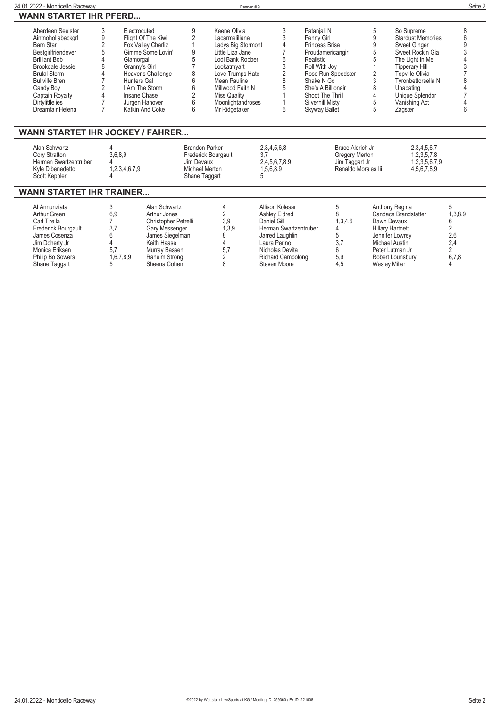| 24.01.2022 - Monticello Raceway         |                |                    |            |                       | Rennen#9             |                       |   |                          | Seite 2 |
|-----------------------------------------|----------------|--------------------|------------|-----------------------|----------------------|-----------------------|---|--------------------------|---------|
| <b>WANN STARTET IHR PFERD</b>           |                |                    |            |                       |                      |                       |   |                          |         |
| Aberdeen Seelster                       | 3              | Electrocuted       | 9          | Keene Olivia          |                      | Patanjali N           | 5 | So Supreme               | 8       |
| Aintnohollabackgrl                      | 9              | Flight Of The Kiwi |            | Lacarmeliliana        |                      | Penny Girl            | 9 | <b>Stardust Memories</b> |         |
| Barn Star                               | $\overline{2}$ | Fox Valley Charliz |            | Ladys Big Stormont    |                      | Princess Brisa        | 9 | <b>Sweet Ginger</b>      |         |
| Bestgirlfriendever                      |                | Gimme Some Lovin'  | 9          | Little Liza Jane      |                      | Proudamericangirl     | 5 | Sweet Rockin Gia         |         |
| <b>Brilliant Bob</b>                    |                | Glamorgal          |            | Lodi Bank Robber      |                      | Realistic             |   | The Light In Me          |         |
| Brookdale Jessie                        |                | Granny's Girl      |            | Lookatmyart           |                      | Roll With Joy         |   | <b>Tipperary Hill</b>    |         |
| <b>Brutal Storm</b>                     |                | Heavens Challenge  |            | Love Trumps Hate      |                      | Rose Run Speedster    |   | <b>Topville Olivia</b>   |         |
| <b>Bullville Bren</b>                   |                | <b>Hunters Gal</b> | 6          | Mean Pauline          |                      | Shake N Go            |   | Tyronbettorsella N       |         |
| Candy Boy                               |                | I Am The Storm     |            | Millwood Faith N      |                      | She's A Billionair    |   | Unabating                |         |
| Captain Royalty                         |                | Insane Chase       |            | Miss Quality          |                      | Shoot The Thrill      |   | Unique Splendor          |         |
| <b>Dirtylittlelies</b>                  |                | Jurgen Hanover     | 6          | Moonlightandroses     |                      | Silverhill Misty      |   | Vanishing Act            |         |
| Dreamfair Helena                        |                | Katkin And Coke    | 6          | Mr Ridgetaker         | 6                    | <b>Skyway Ballet</b>  |   | Zagster                  | 6       |
| <b>WANN STARTET IHR JOCKEY / FAHRER</b> |                |                    |            |                       |                      |                       |   |                          |         |
| Alan Schwartz                           |                |                    |            | <b>Brandon Parker</b> | 2,3,4,5,6,8          | Bruce Aldrich Jr      |   | 2, 3, 4, 5, 6, 7         |         |
| Cory Stratton                           |                | 3,6,8,9            |            | Frederick Bourgault   | 3.7                  | <b>Gregory Merton</b> |   | 1,2,3,5,7,8              |         |
| Herman Swartzentruber                   |                |                    | Jim Devaux |                       | 2,4,5,6,7,8,9        | Jim Taggart Jr        |   | 1,2,3,5,6,7,9            |         |
| Kyle Dibenedetto                        |                | 1,2,3,4,6,7,9      |            | <b>Michael Merton</b> | 1,5,6,8,9            | Renaldo Morales lii   |   | 4,5,6,7,8,9              |         |
| Scott Keppler                           |                |                    |            | Shane Taggart         |                      |                       |   |                          |         |
| <b>WANN STARTET IHR TRAINER</b>         |                |                    |            |                       |                      |                       |   |                          |         |
| Al Annunziata                           |                | Alan Schwartz      |            |                       | Allison Kolesar      | 5                     |   | Anthony Regina           |         |
| Arthur Green                            | 6.9            | Arthur Jones       |            |                       | <b>Ashley Eldred</b> |                       |   | Candace Brandstatter     | .3.8.9  |

|                     |           | , ,,,,,,,,,,,,,,,,,,,, |       |                          |         |                         |         |
|---------------------|-----------|------------------------|-------|--------------------------|---------|-------------------------|---------|
| Arthur Green        | 6.9       | Arthur Jones           |       | Ashlev Eldred            |         | Candace Brandstatter    | 1,3,8,9 |
| Carl Tirella        |           | Christopher Petrelli   | 3.9   | Daniel Gill              | 1.3.4.6 | Dawn Devaux             |         |
| Frederick Bourgault |           | Gary Messenger         | 1.3.9 | Herman Swartzentruber    |         | <b>Hillary Hartnett</b> |         |
| James Cosenza       |           | James Siegelman        |       | Jarred Laughlin          |         | Jennifer Lowrey         | 2,6     |
| Jim Doherty Jr      |           | Keith Haase            |       | Laura Perino             |         | Michael Austin          | 2.4     |
| Monica Eriksen      | 5.7       | Murray Bassen          | 5.7   | Nicholas Devita          |         | Peter Lutman Jr         |         |
| Philip Bo Sowers    | 1,6,7,8,9 | Raheim Strong          |       | <b>Richard Campolong</b> | 5.9     | Robert Lounsbury        | 6,7,8   |
| Shane Taggart       |           | Sheena Cohen           |       | Steven Moore             |         | Weslev Miller           |         |
|                     |           |                        |       |                          |         |                         |         |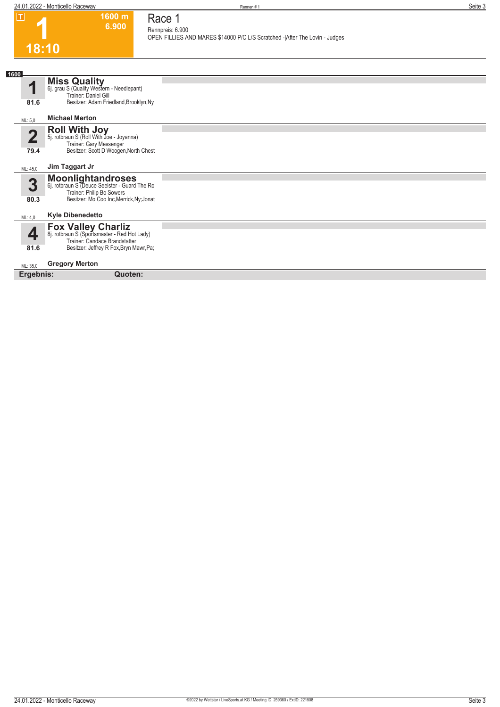**1600 m 6.900** 

**Race 1 Rennpreis: 6.900**

**OPEN FILLIES AND MARES \$14000 P/C L/S Scratched -|After The Lovin - Judges** 

### **1 18:10**

|                                 | 10. IV                                                                                                                                                |  |
|---------------------------------|-------------------------------------------------------------------------------------------------------------------------------------------------------|--|
|                                 |                                                                                                                                                       |  |
| 1600<br>1                       | <b>Miss Quality</b><br>6j. grau S (Quality Western - Needlepant)<br>Trainer: Daniel Gill                                                              |  |
| 81.6                            | Besitzer: Adam Friedland, Brooklyn, Ny                                                                                                                |  |
| ML: 5.0                         | <b>Michael Merton</b>                                                                                                                                 |  |
| $\overline{\mathbf{2}}$<br>79.4 | <b>Roll With Joy</b><br>5j. rotbraun S (Roll With Joe - Joyanna)<br>Trainer: Gary Messenger<br>Besitzer: Scott D Woogen, North Chest                  |  |
| ML: 45,0                        | Jim Taggart Jr                                                                                                                                        |  |
| 3                               | <b>Moonlightandroses</b><br>6j. rotbraun S (Deuce Seelster - Guard The Ro<br>Trainer: Philip Bo Sowers                                                |  |
| 80.3                            | Besitzer: Mo Coo Inc, Merrick, Ny; Jonat                                                                                                              |  |
| ML: 4,0                         | <b>Kyle Dibenedetto</b>                                                                                                                               |  |
| 4<br>81.6                       | <b>Fox Valley Charliz</b><br>8j. rotbraun S (Sportsmaster - Red Hot Lady)<br>Trainer: Candace Brandstatter<br>Besitzer: Jeffrey R Fox, Bryn Mawr, Pa; |  |
| ML: 35,0                        | <b>Gregory Merton</b>                                                                                                                                 |  |
| Ergebnis:                       | Quoten:                                                                                                                                               |  |
|                                 |                                                                                                                                                       |  |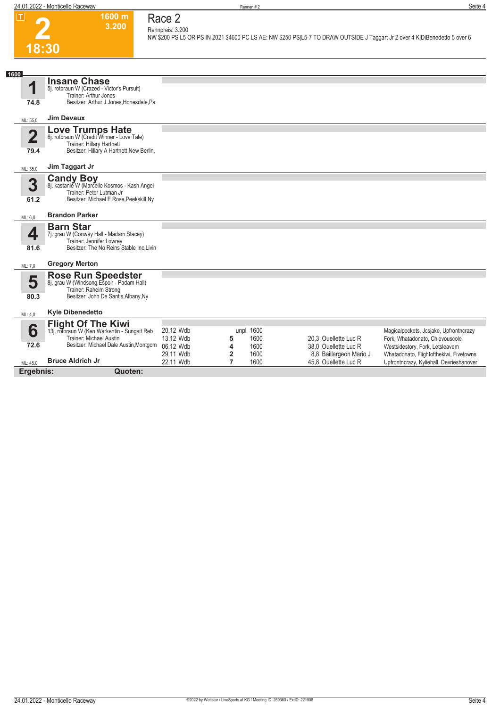

#### **1600 m Race 2 Rennpreis: 3.200**

**3.200** 

**NW \$200 PS L5 OR PS IN 2021 \$4600 PC LS AE: NW \$250 PS|L5-7 TO DRAW OUTSIDE J Taggart Jr 2 over 4 K|DiBenedetto 5 over 6** 

| 1600                            |                                                                                                                                                       |                                     |                                  |                           |                                                 |                                                                                                              |
|---------------------------------|-------------------------------------------------------------------------------------------------------------------------------------------------------|-------------------------------------|----------------------------------|---------------------------|-------------------------------------------------|--------------------------------------------------------------------------------------------------------------|
| И                               | <b>Insane Chase</b><br>5j. rotbraun W (Crazed - Victor's Pursuit)<br>Trainer: Arthur Jones                                                            |                                     |                                  |                           |                                                 |                                                                                                              |
| 74.8                            | Besitzer: Arthur J Jones, Honesdale, Pa                                                                                                               |                                     |                                  |                           |                                                 |                                                                                                              |
| ML: 55,0                        | <b>Jim Devaux</b>                                                                                                                                     |                                     |                                  |                           |                                                 |                                                                                                              |
| $\overline{\mathbf{2}}$<br>79.4 | <b>Love Trumps Hate</b><br>6j. rotbraun W (Credit Winner - Love Tale)<br>Trainer: Hillary Hartnett<br>Besitzer: Hillary A Hartnett, New Berlin,       |                                     |                                  |                           |                                                 |                                                                                                              |
| ML: 35,0                        | Jim Taggart Jr                                                                                                                                        |                                     |                                  |                           |                                                 |                                                                                                              |
| 3                               | <b>Candy Boy</b><br>8j. kastanie W (Marcello Kosmos - Kash Angel<br>Trainer: Peter Lutman Jr                                                          |                                     |                                  |                           |                                                 |                                                                                                              |
| 61.2                            | Besitzer: Michael E Rose, Peekskill, Ny                                                                                                               |                                     |                                  |                           |                                                 |                                                                                                              |
| ML: 6,0                         | <b>Brandon Parker</b>                                                                                                                                 |                                     |                                  |                           |                                                 |                                                                                                              |
| 4<br>81.6                       | <b>Barn Star</b><br>7j. grau W (Conway Hall - Madam Stacey)<br>Trainer: Jennifer Lowrey<br>Besitzer: The No Reins Stable Inc.Livin                    |                                     |                                  |                           |                                                 |                                                                                                              |
| ML: 7,0                         | <b>Gregory Merton</b>                                                                                                                                 |                                     |                                  |                           |                                                 |                                                                                                              |
| 5<br>80.3                       | <b>Rose Run Speedster</b><br>8j. grau W (Windsong Espoir - Padam Hall)<br>Trainer: Raheim Strong<br>Besitzer: John De Santis, Albany, Ny              |                                     |                                  |                           |                                                 |                                                                                                              |
| ML: 4,0                         | <b>Kyle Dibenedetto</b>                                                                                                                               |                                     |                                  |                           |                                                 |                                                                                                              |
| 6<br>72.6                       | <b>Flight Of The Kiwi</b><br>13j. rotbraun W (Ken Warkentin - Sungait Reb<br><b>Trainer: Michael Austin</b><br>Besitzer: Michael Dale Austin, Montgom | 20.12 Wdb<br>13.12 Wdb<br>06.12 Wdb | 5<br>4                           | unpl 1600<br>1600<br>1600 | 20,3 Ouellette Luc R<br>38,0 Ouellette Luc R    | Magicalpockets, Jcsjake, Upfrontncrazy<br>Fork, Whatadonato, Chievouscole<br>Westsidestory, Fork, Letsleavem |
| ML: 45.0                        | <b>Bruce Aldrich Jr</b>                                                                                                                               | 29.11 Wdb<br>22.11 Wdb              | $\overline{2}$<br>$\overline{7}$ | 1600<br>1600              | 8,8 Baillargeon Mario J<br>45.8 Ouellette Luc R | Whatadonato, Flightofthekiwi, Fivetowns<br>Upfrontncrazy, Kyliehall, Devrieshanover                          |

**Ergebnis: Quoten:**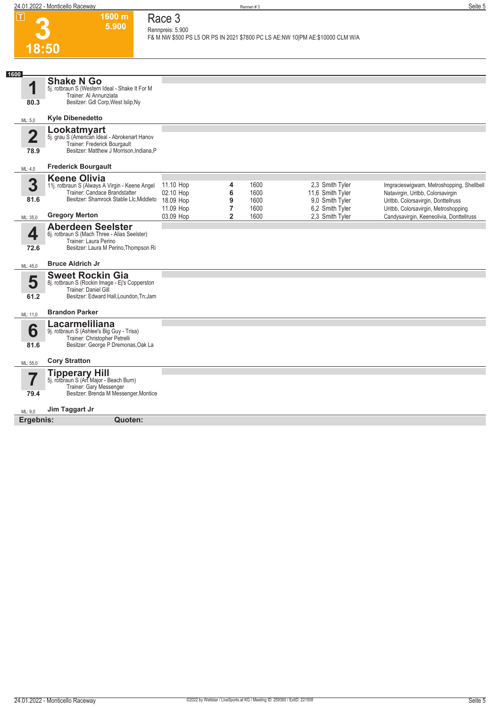**1600 m**

**Race 3**

**3**

|                         | 5.900                                                                                                                                        | Rennpreis: 5.900       |                                |              |                                                                                 |                                                                                  |
|-------------------------|----------------------------------------------------------------------------------------------------------------------------------------------|------------------------|--------------------------------|--------------|---------------------------------------------------------------------------------|----------------------------------------------------------------------------------|
| 18:50                   |                                                                                                                                              |                        |                                |              | F& M NW \$500 PS L5 OR PS IN 2021 \$7800 PC LS AE:NW 10   PM AE:\$10000 CLM W/A |                                                                                  |
|                         |                                                                                                                                              |                        |                                |              |                                                                                 |                                                                                  |
| 1600                    | <b>Shake N Go</b>                                                                                                                            |                        |                                |              |                                                                                 |                                                                                  |
| 1                       | 5j. rotbraun S (Western Ideal - Shake It For M                                                                                               |                        |                                |              |                                                                                 |                                                                                  |
| 80.3                    | Trainer: Al Annunziata<br>Besitzer: Gdl Corp, West Islip, Ny                                                                                 |                        |                                |              |                                                                                 |                                                                                  |
| ML: 5,0                 | <b>Kyle Dibenedetto</b>                                                                                                                      |                        |                                |              |                                                                                 |                                                                                  |
| $\overline{\mathbf{2}}$ | Lookatmyart<br>5j. grau S (American Ideal - Abrokenart Hanov                                                                                 |                        |                                |              |                                                                                 |                                                                                  |
| 78.9                    | Trainer: Frederick Bourgault<br>Besitzer: Matthew J Morrison, Indiana, P                                                                     |                        |                                |              |                                                                                 |                                                                                  |
|                         | <b>Frederick Bourgault</b>                                                                                                                   |                        |                                |              |                                                                                 |                                                                                  |
| ML: 4,0                 | <b>Keene Olivia</b>                                                                                                                          |                        |                                |              |                                                                                 |                                                                                  |
| 3                       | 11j. rotbraun S (Always A Virgin - Keene Angel                                                                                               | 11.10 Hop              | 4                              | 1600         | 2,3 Smith Tyler                                                                 | Imgracieswigwam, Metroshopping, Shellbell                                        |
| 81.6                    | Trainer: Candace Brandstatter<br>Besitzer: Shamrock Stable Llc, Middleto                                                                     | 02.10 Hop<br>18.09 Hop | 6<br>9                         | 1600<br>1600 | 11,6 Smith Tyler<br>9,0 Smith Tyler                                             | Natavirgin, Uritbb, Colorsavirgin<br>Uritbb, Colorsavirgin, Donttellruss         |
| ML: 35,0                | <b>Gregory Merton</b>                                                                                                                        | 11.09 Hop<br>03.09 Hop | $\overline{7}$<br>$\mathbf{2}$ | 1600<br>1600 | 6,2 Smith Tyler<br>2,3 Smith Tyler                                              | Uritbb, Colorsavirgin, Metroshopping<br>Candysavirgin, Keeneolivia, Donttellruss |
| 4<br>72.6               | <b>Aberdeen Seelster</b><br>6j. rotbraun S (Mach Three - Alias Seelster)<br>Trainer: Laura Perino<br>Besitzer: Laura M Perino, Thompson Ri   |                        |                                |              |                                                                                 |                                                                                  |
| ML: 45,0                | <b>Bruce Aldrich Jr</b>                                                                                                                      |                        |                                |              |                                                                                 |                                                                                  |
| 5<br>61.2               | <b>Sweet Rockin Gia</b><br>8j. rotbraun S (Rockin Image - Ej's Copperston<br>Trainer: Daniel Gill<br>Besitzer: Edward Hall, Loundon, Tn; Jam |                        |                                |              |                                                                                 |                                                                                  |
| ML: 11,0                | <b>Brandon Parker</b>                                                                                                                        |                        |                                |              |                                                                                 |                                                                                  |
| 6<br>81.6               | Lacarmeliliana<br>9j. rotbraun S (Ashlee's Big Guy - Trisa)<br>Trainer: Christopher Petrelli<br>Besitzer: George P Dremonas, Oak La          |                        |                                |              |                                                                                 |                                                                                  |
| ML: 55,0                | <b>Cory Stratton</b>                                                                                                                         |                        |                                |              |                                                                                 |                                                                                  |
| 7<br>79.4               | <b>Tipperary Hill</b><br>5j. rotbraun S (Art Major - Beach Burn)<br>Trainer: Gary Messenger<br>Besitzer: Brenda M Messenger, Montice         |                        |                                |              |                                                                                 |                                                                                  |
| ML: 9,0                 | Jim Taggart Jr                                                                                                                               |                        |                                |              |                                                                                 |                                                                                  |
| Ergebnis:               | Quoten:                                                                                                                                      |                        |                                |              |                                                                                 |                                                                                  |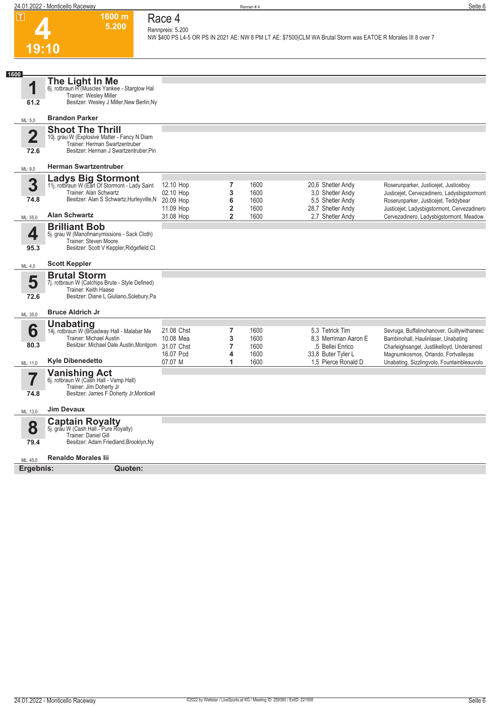

#### **Race 4 Rennpreis: 5.200**

**1600 m 5.200** 

**NW \$400 PS L4-5 OR PS IN 2021 AE: NW 8 PM LT AE: \$7500|CLM WA Brutal Storm was EATOE R Morales III 8 over 7** 

| 1600                  |                                                                                                                                                     |                                       |                                  |                      |                                                             |                                                                                                                                  |
|-----------------------|-----------------------------------------------------------------------------------------------------------------------------------------------------|---------------------------------------|----------------------------------|----------------------|-------------------------------------------------------------|----------------------------------------------------------------------------------------------------------------------------------|
| 1                     | The Light In Me<br>6j. rotbraun H (Muscles Yankee - Starglow Hal                                                                                    |                                       |                                  |                      |                                                             |                                                                                                                                  |
| 61.2                  | Trainer: Wesley Miller<br>Besitzer: Wesley J Miller, New Berlin, Ny                                                                                 |                                       |                                  |                      |                                                             |                                                                                                                                  |
| ML: 5,0               | <b>Brandon Parker</b>                                                                                                                               |                                       |                                  |                      |                                                             |                                                                                                                                  |
| $\mathbf 2$<br>72.6   | <b>Shoot The Thrill</b><br>10j. grau W (Explosive Matter - Fancy N Diam<br>Trainer: Herman Swartzentruber<br>Besitzer: Herman J Swartzentruber, Pin |                                       |                                  |                      |                                                             |                                                                                                                                  |
| ML: 9,0               | <b>Herman Swartzentruber</b>                                                                                                                        |                                       |                                  |                      |                                                             |                                                                                                                                  |
| 3<br>74.8             | <b>Ladys Big Stormont</b><br>11j. rotbraun W (Earl Of Stormont - Lady Saint<br>Trainer: Alan Schwartz<br>Besitzer: Alan S Schwartz, Hurleyville, N  | 12.10 Hop<br>02.10 Hop<br>20.09 Hop   | 7<br>3<br>6                      | 1600<br>1600<br>1600 | 20,6 Shetler Andy<br>3.0 Shetler Andy<br>5,5 Shetler Andy   | Roserunparker, Justicejet, Justiceboy<br>Justicejet, Cervezadinero, Ladysbigstormont<br>Roserunparker, Justicejet, Teddybear     |
| ML: 55,0              | <b>Alan Schwartz</b>                                                                                                                                | 11.09 Hop<br>31.08 Hop                | $\overline{2}$<br>$\overline{2}$ | 1600<br>1600         | 28,7 Shetler Andy<br>2.7 Shetler Andy                       | Justicejet, Ladysbigstormont, Cervezadinero<br>Cervezadinero, Ladysbigstormont, Meadow                                           |
| 4<br>95.3             | <b>Brilliant Bob</b><br>5j. grau W (Manofmanymissions - Sack Cloth)<br>Trainer: Steven Moore<br>Besitzer: Scott V Keppler, Ridgefield, Ct           |                                       |                                  |                      |                                                             |                                                                                                                                  |
| ML: 4,0               | <b>Scott Keppler</b>                                                                                                                                |                                       |                                  |                      |                                                             |                                                                                                                                  |
| 5<br>72.6             | <b>Brutal Storm</b><br>7j. rotbraun W (Calchips Brute - Style Defined)<br>Trainer: Keith Haase<br>Besitzer: Diane L Giuliano, Solebury, Pa          |                                       |                                  |                      |                                                             |                                                                                                                                  |
| ML: 35,0              | <b>Bruce Aldrich Jr</b>                                                                                                                             |                                       |                                  |                      |                                                             |                                                                                                                                  |
| 6<br>80.3             | <b>Unabating</b><br>14j. rotbraun W (Broadway Hall - Malabar Me<br>Trainer: Michael Austin<br>Besitzer: Michael Dale Austin, Montgom                | 21.08 Chst<br>10.08 Mea<br>31.07 Chst | $\overline{7}$<br>3<br>7         | 1600<br>1600<br>1600 | 5.3 Tetrick Tim<br>8.3 Merriman Aaron E<br>,5 Bellei Enrico | Sevruga, Buffalinohanover, Guiltywithanexc<br>Bambinohall, Haulinlaser, Unabating<br>Charleighsangel, Justlikelloyd, Underarrest |
| ML: 11,0              | <b>Kyle Dibenedetto</b>                                                                                                                             | 16.07 Pcd<br>07.07 M                  | 4<br>1                           | 1600<br>1600         | 33,8 Buter Tyler L<br>1.5 Pierce Ronald D                   | Magnumkosmos, Orlando, Fortvalleyas<br>Unabating, Sizzlingvolo, Fountainbleauvolo                                                |
| 74.8                  | <b>Vanishing Act</b><br>6j. rotbraun W (Cash Hall - Vamp Hall)<br>Trainer: Jim Doherty Jr<br>Besitzer: James F Doherty Jr, Monticell                |                                       |                                  |                      |                                                             |                                                                                                                                  |
| ML: 13,0              | <b>Jim Devaux</b>                                                                                                                                   |                                       |                                  |                      |                                                             |                                                                                                                                  |
| 8<br>79.4             | <b>Captain Royalty</b><br>5j. grau W (Cash Hall - Pure Royalty)<br>Trainer: Daniel Gill<br>Besitzer: Adam Friedland, Brooklyn, Ny                   |                                       |                                  |                      |                                                             |                                                                                                                                  |
|                       | <b>Renaldo Morales lii</b>                                                                                                                          |                                       |                                  |                      |                                                             |                                                                                                                                  |
| ML: 45,0<br>Ergebnis: | Quoten:                                                                                                                                             |                                       |                                  |                      |                                                             |                                                                                                                                  |
|                       |                                                                                                                                                     |                                       |                                  |                      |                                                             |                                                                                                                                  |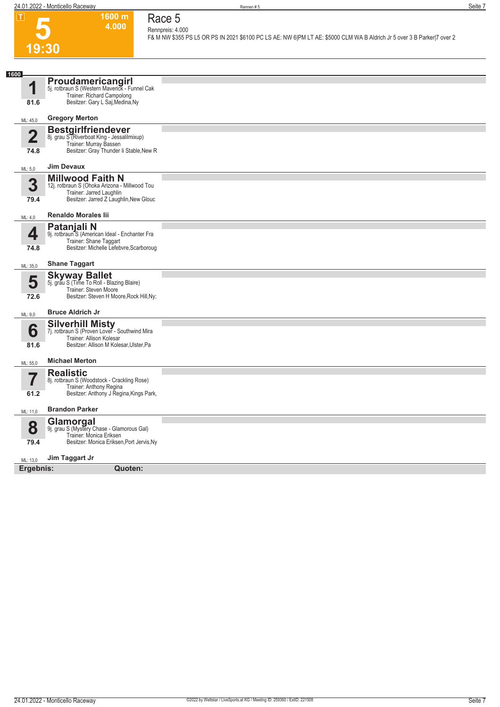**1600 m 4.000** 

**Race 5 Rennpreis: 4.000**

**F& M NW \$355 PS L5 OR PS IN 2021 \$6100 PC LS AE: NW 6|PM LT AE: \$5000 CLM WA B Aldrich Jr 5 over 3 B Parker|7 over 2** 

### **5** <u>የበ</u>

|                                 | 1 J.JU                                                                                                                                          |  |
|---------------------------------|-------------------------------------------------------------------------------------------------------------------------------------------------|--|
|                                 |                                                                                                                                                 |  |
| 1600<br>1<br>81.6               | Proudamericangirl<br>5j. rotbraun S (Western Maverick - Funnel Cak<br>Trainer: Richard Campolong<br>Besitzer: Gary L Saj, Medina, Ny            |  |
| ML: 45,0                        | <b>Gregory Merton</b>                                                                                                                           |  |
| $\overline{\mathbf{2}}$<br>74.8 | <b>Bestgirlfriendever</b><br>8j. grau S (Riverboat King - Jessalilmixup)<br>Trainer: Murray Bassen<br>Besitzer: Gray Thunder li Stable, New R   |  |
| ML: 5,0                         | <b>Jim Devaux</b>                                                                                                                               |  |
| 3<br>79.4                       | <b>Millwood Faith N</b><br>12j. rotbraun S (Ohoka Arizona - Millwood Tou<br>Trainer: Jarred Laughlin<br>Besitzer: Jarred Z Laughlin, New Glouc  |  |
| ML: 4,0                         | <b>Renaldo Morales lii</b>                                                                                                                      |  |
| 4<br>74.8                       | Patanjali N<br>9j. rotbraun <sup>5</sup> S (American Ideal - Enchanter Fra<br>Trainer: Shane Taggart<br>Besitzer: Michelle Lefebvre, Scarboroug |  |
| ML: 35,0                        | <b>Shane Taggart</b>                                                                                                                            |  |
| 5<br>72.6                       | <b>Skyway Ballet</b><br>5j. grau S (Time To Roll - Blazing Blaire)<br>Trainer: Steven Moore<br>Besitzer: Steven H Moore, Rock Hill, Ny;         |  |
| ML: 9,0                         | <b>Bruce Aldrich Jr</b>                                                                                                                         |  |
| 6<br>81.6                       | <b>Silverhill Misty</b><br>7j. rotbraun S (Proven Lover - Southwind Mira<br>Trainer: Allison Kolesar<br>Besitzer: Allison M Kolesar, Ulster, Pa |  |
| ML: 55,0                        | <b>Michael Merton</b>                                                                                                                           |  |
| $\overline{7}$<br>61.2          | <b>Realistic</b><br>8j. rotbraun S (Woodstock - Crackling Rose)<br>Trainer: Anthony Regina<br>Besitzer: Anthony J Regina, Kings Park,           |  |
| ML: 11,0                        | <b>Brandon Parker</b>                                                                                                                           |  |
| 8<br>79.4                       | Glamorgal<br>9j. grau S (Mystery Chase - Glamorous Gal)<br>Trainer: Monica Eriksen<br>Besitzer: Monica Eriksen, Port Jervis, Ny                 |  |
| ML: 13,0                        | Jim Taggart Jr                                                                                                                                  |  |
| Ergebnis:                       | Quoten:                                                                                                                                         |  |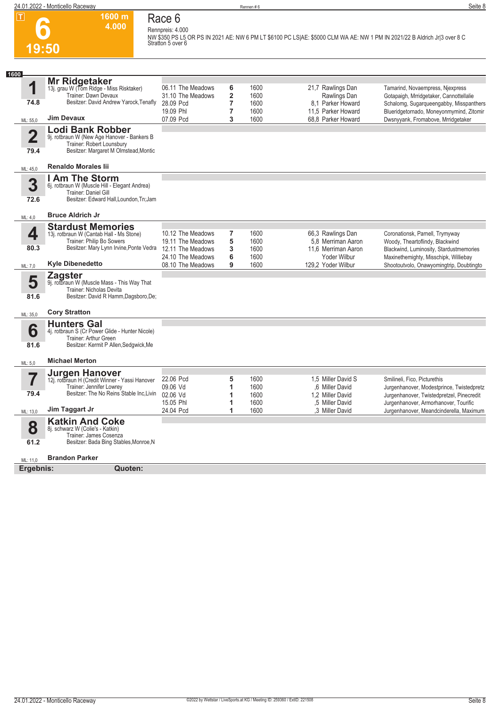

#### **Race 6 Rennpreis: 4.000**

**1600 m 4.000** 

**NW \$350 PS L5 OR PS IN 2021 AE: NW 6 PM LT \$6100 PC LS|AE: \$5000 CLM WA AE: NW 1 PM IN 2021/22 B Aldrich Jr|3 over 8 C Stratton 5 over 6** 

| 1600                    |                                                                       |                                        |                |              |                                         |                                                                            |
|-------------------------|-----------------------------------------------------------------------|----------------------------------------|----------------|--------------|-----------------------------------------|----------------------------------------------------------------------------|
|                         | Mr Ridgetaker                                                         |                                        |                |              |                                         |                                                                            |
| 1                       | 13j. grau W (Tom Ridge - Miss Risktaker)                              | 06.11 The Meadows                      | 6              | 1600         | 21,7 Rawlings Dan                       | Tamarind, Novaempress, Njexpress                                           |
|                         | Trainer: Dawn Devaux                                                  | 31.10 The Meadows                      | $\overline{2}$ | 1600         | Rawlings Dan                            | Gotapaigh, Mrridgetaker, Cannottellalie                                    |
| 74.8                    | Besitzer: David Andrew Yarock, Tenafly                                | 28.09 Pcd                              | 7              | 1600         | 8.1 Parker Howard                       | Schalomg, Sugarqueengabby, Misspanthers                                    |
|                         |                                                                       | 19.09 Phl                              | 7              | 1600         | 11,5 Parker Howard                      | Blueridgetornado, Moneyonmymind, Zitomir                                   |
| ML: 55,0                | <b>Jim Devaux</b>                                                     | 07.09 Pcd                              | 3              | 1600         | 68.8 Parker Howard                      | Dwsnyyank, Fromabove, Mrridgetaker                                         |
|                         | <b>Lodi Bank Robber</b>                                               |                                        |                |              |                                         |                                                                            |
| $\overline{\mathbf{2}}$ | 9j. rotbraun W (New Age Hanover - Bankers B                           |                                        |                |              |                                         |                                                                            |
|                         | Trainer: Robert Lounsbury                                             |                                        |                |              |                                         |                                                                            |
| 79.4                    | Besitzer: Margaret M Olmstead, Montic                                 |                                        |                |              |                                         |                                                                            |
|                         |                                                                       |                                        |                |              |                                         |                                                                            |
| ML: 45,0                | <b>Renaldo Morales lii</b>                                            |                                        |                |              |                                         |                                                                            |
|                         | I Am The Storm                                                        |                                        |                |              |                                         |                                                                            |
| 3                       | 6j. rotbraun W (Muscle Hill - Elegant Andrea)                         |                                        |                |              |                                         |                                                                            |
|                         | Trainer: Daniel Gill                                                  |                                        |                |              |                                         |                                                                            |
| 72.6                    | Besitzer: Edward Hall, Loundon, Tn; Jam                               |                                        |                |              |                                         |                                                                            |
|                         | <b>Bruce Aldrich Jr</b>                                               |                                        |                |              |                                         |                                                                            |
| ML: 4,0                 |                                                                       |                                        |                |              |                                         |                                                                            |
|                         | <b>Stardust Memories</b>                                              |                                        |                |              |                                         |                                                                            |
| 4                       | 13j. rotbraun W (Cantab Hall - Ms Stone)<br>Trainer: Philip Bo Sowers | 10.12 The Meadows                      | 7<br>5         | 1600<br>1600 | 66,3 Rawlings Dan<br>5.8 Merriman Aaron | Coronationsk, Parnell, Trymyway                                            |
| 80.3                    | Besitzer: Mary Lynn Irvine, Ponte Vedra                               | 19.11 The Meadows<br>12.11 The Meadows | 3              | 1600         | 11.6 Merriman Aaron                     | Woody, Theartoflindy, Blackwind<br>Blackwind, Luminosity, Stardustmemories |
|                         |                                                                       | 24.10 The Meadows                      | 6              | 1600         | Yoder Wilbur                            | Maxinethemighty, Misschipk, Williebay                                      |
| ML: 7,0                 | <b>Kyle Dibenedetto</b>                                               | 08.10 The Meadows                      | 9              | 1600         | 129.2 Yoder Wilbur                      | Shootoutvolo, Onawyomingtrip, Doubtingto                                   |
|                         |                                                                       |                                        |                |              |                                         |                                                                            |
| 5                       | <b>Zagster</b><br>9j. rotbraun W (Muscle Mass - This Way That         |                                        |                |              |                                         |                                                                            |
|                         | Trainer: Nicholas Devita                                              |                                        |                |              |                                         |                                                                            |
| 81.6                    | Besitzer: David R Hamm, Dagsboro, De;                                 |                                        |                |              |                                         |                                                                            |
|                         |                                                                       |                                        |                |              |                                         |                                                                            |
| ML: 35,0                | <b>Cory Stratton</b>                                                  |                                        |                |              |                                         |                                                                            |
|                         | <b>Hunters Gal</b>                                                    |                                        |                |              |                                         |                                                                            |
| 6                       | 4j. rotbraun S (Cr Power Glide - Hunter Nicole)                       |                                        |                |              |                                         |                                                                            |
|                         | Trainer: Arthur Green                                                 |                                        |                |              |                                         |                                                                            |
| 81.6                    | Besitzer: Kermit P Allen, Sedgwick, Me                                |                                        |                |              |                                         |                                                                            |
|                         |                                                                       |                                        |                |              |                                         |                                                                            |
| ML: 5,0                 | <b>Michael Merton</b>                                                 |                                        |                |              |                                         |                                                                            |
|                         | <b>Jurgen Hanover</b>                                                 |                                        |                |              |                                         |                                                                            |
| 7                       | 12j. rotbraun H (Credit Winner - Yassi Hanover                        | 22.06 Pcd                              | 5              | 1600         | 1.5 Miller David S                      | Smilineli, Fico, Picturethis                                               |
|                         | Trainer: Jennifer Lowrev                                              | 09.06 Vd                               | 1              | 1600         | .6 Miller David                         | Jurgenhanover, Modestprince, Twistedpretz                                  |
| 79.4                    | Besitzer: The No Reins Stable Inc.Livin                               | 02.06 Vd                               | 1              | 1600         | 1,2 Miller David                        | Jurgenhanover, Twistedpretzel, Pinecredit                                  |
|                         | Jim Taggart Jr                                                        | 15.05 Phl                              | 1              | 1600         | .5 Miller David                         | Jurgenhanover, Armorhanover, Tourific                                      |
| ML: 13,0                |                                                                       | 24.04 Pcd                              | 1              | 1600         | .3 Miller David                         | Jurgenhanover, Meandcinderella, Maximum                                    |
|                         | <b>Katkin And Coke</b>                                                |                                        |                |              |                                         |                                                                            |
| 8                       | 8j. schwarz W (Colie's - Katkin)                                      |                                        |                |              |                                         |                                                                            |
| 61.2                    | Trainer: James Cosenza<br>Besitzer: Bada Bing Stables, Monroe, N      |                                        |                |              |                                         |                                                                            |
|                         |                                                                       |                                        |                |              |                                         |                                                                            |
| ML: 11,0                | <b>Brandon Parker</b>                                                 |                                        |                |              |                                         |                                                                            |
| Ergebnis:               | Quoten:                                                               |                                        |                |              |                                         |                                                                            |
|                         |                                                                       |                                        |                |              |                                         |                                                                            |
|                         |                                                                       |                                        |                |              |                                         |                                                                            |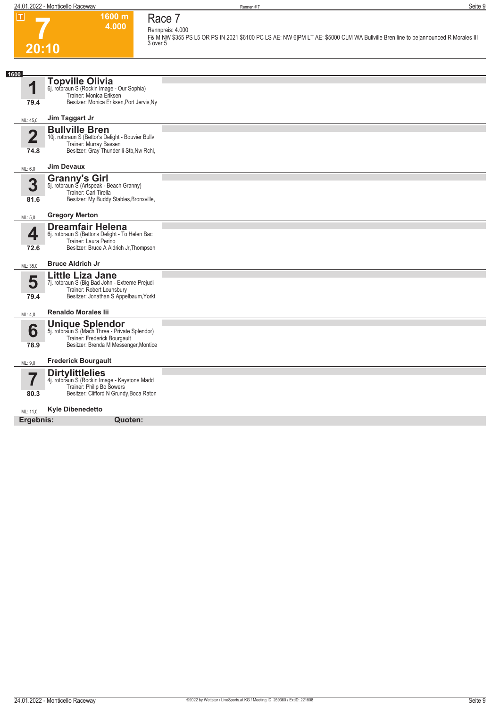**1600 m 4.000**  **Race 7 Rennpreis: 4.000**

**F& M NW \$355 PS L5 OR PS IN 2021 \$6100 PC LS AE: NW 6|PM LT AE: \$5000 CLM WA Bullville Bren line to be|announced R Morales III 3 over 5** 

# **7 20:10**

| 1600                   |                                                                                                                                                                          |  |
|------------------------|--------------------------------------------------------------------------------------------------------------------------------------------------------------------------|--|
| 1<br>79.4              | <b>Topville Olivia</b><br>6j. rotbraun S (Rockin Image - Our Sophia)<br>Trainer: Monica Eriksen<br>Besitzer: Monica Eriksen, Port Jervis, Ny                             |  |
| ML: 45,0               | Jim Taggart Jr                                                                                                                                                           |  |
| $\overline{2}$<br>74.8 | <b>Bullville Bren</b><br>10j. rotbraun S (Bettor's Delight - Bouvier Bullv<br>Trainer: Murray Bassen<br>Besitzer: Gray Thunder Ii Stb, Nw Rchl,                          |  |
| ML: 6,0                | <b>Jim Devaux</b>                                                                                                                                                        |  |
| 3<br>81.6              | <b>Granny's Girl</b><br>5j. rotbraun S (Artspeak - Beach Granny)<br>Trainer: Carl Tirella<br>Besitzer: My Buddy Stables, Bronxville,                                     |  |
| ML: 5,0                | <b>Gregory Merton</b>                                                                                                                                                    |  |
| 4<br>72.6<br>ML: 35,0  | <b>Dreamfair Helena</b><br>6j. rotbraun S (Bettor's Delight - To Helen Bac<br>Trainer: Laura Perino<br>Besitzer: Bruce A Aldrich Jr, Thompson<br><b>Bruce Aldrich Jr</b> |  |
| 5<br>79.4              | <b>Little Liza Jane</b><br>7j. rotbraun S (Big Bad John - Extreme Prejudi<br>Trainer: Robert Lounsbury<br>Besitzer: Jonathan S Appelbaum, Yorkt                          |  |
| ML: 4,0                | <b>Renaldo Morales lii</b>                                                                                                                                               |  |
| 6<br>78.9              | <b>Unique Splendor</b><br>5j. rotbraun S (Mach Three - Private Splendor)<br>Trainer: Frederick Bourgault<br>Besitzer: Brenda M Messenger, Montice                        |  |
| ML: 9,0                | <b>Frederick Bourgault</b>                                                                                                                                               |  |
| 7<br>80.3              | <b>Dirtylittlelies</b><br>4j. rotbraun S (Rockin Image - Keystone Madd<br>Trainer: Philip Bo Sowers<br>Besitzer: Clifford N Grundy, Boca Raton                           |  |
| ML: 11,0               | <b>Kyle Dibenedetto</b>                                                                                                                                                  |  |
| Ergebnis:              | Quoten:                                                                                                                                                                  |  |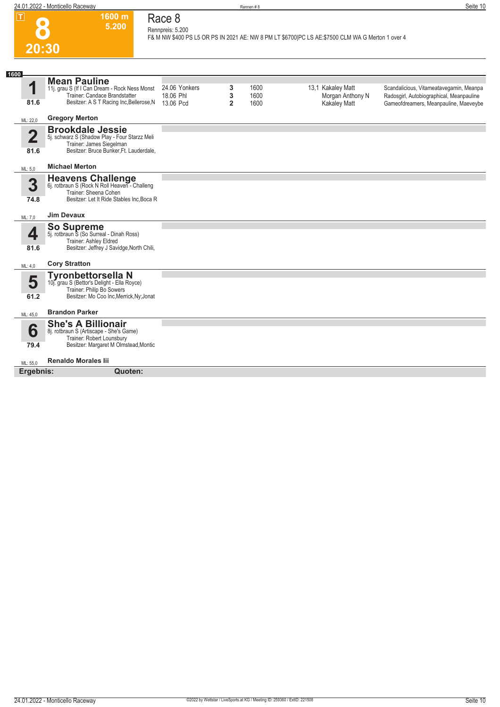

#### **Race 8 Rennpreis: 5.200**

**1600 m 5.200** 

**F& M NW \$400 PS L5 OR PS IN 2021 AE: NW 8 PM LT \$6700|PC LS AE:\$7500 CLM WA G Merton 1 over 4** 

| 1600                            |                                                                                                                                                   |                                         |                          |                      |                                                              |                                                                                                                              |
|---------------------------------|---------------------------------------------------------------------------------------------------------------------------------------------------|-----------------------------------------|--------------------------|----------------------|--------------------------------------------------------------|------------------------------------------------------------------------------------------------------------------------------|
| 1<br>81.6                       | <b>Mean Pauline</b><br>11j. grau S (If I Can Dream - Rock Ness Monst<br>Trainer: Candace Brandstatter<br>Besitzer: A S T Racing Inc, Bellerose, N | 24.06 Yonkers<br>18.06 Phl<br>13.06 Pcd | 3<br>3<br>$\overline{2}$ | 1600<br>1600<br>1600 | 13,1 Kakaley Matt<br>Morgan Anthony N<br><b>Kakaley Matt</b> | Scandalicious, Vitameatavegamin, Meanpa<br>Radosgirl, Autobiographical, Meanpauline<br>Gameofdreamers, Meanpauline, Maeveybe |
| ML: 22,0                        | <b>Gregory Merton</b>                                                                                                                             |                                         |                          |                      |                                                              |                                                                                                                              |
| $\overline{\mathbf{2}}$<br>81.6 | <b>Brookdale Jessie</b><br>5j. schwarz S (Shadow Play - Four Starzz Meli<br>Trainer: James Siegelman<br>Besitzer: Bruce Bunker, Ft. Lauderdale,   |                                         |                          |                      |                                                              |                                                                                                                              |
| ML: 5.0                         | <b>Michael Merton</b>                                                                                                                             |                                         |                          |                      |                                                              |                                                                                                                              |
| 3<br>74.8                       | Heavens Challenge<br>6j. rotbraun S (Rock N Roll Heaven - Challeng<br>Trainer: Sheena Cohen<br>Besitzer: Let It Ride Stables Inc, Boca R          |                                         |                          |                      |                                                              |                                                                                                                              |
| ML: 7,0                         | <b>Jim Devaux</b>                                                                                                                                 |                                         |                          |                      |                                                              |                                                                                                                              |
| 4<br>81.6                       | <b>So Supreme</b><br>5j. rotbraun S (So Surreal - Dinah Ross)<br>Trainer: Ashley Eldred<br>Besitzer: Jeffrey J Savidge, North Chili,              |                                         |                          |                      |                                                              |                                                                                                                              |
| ML: 4,0                         | <b>Cory Stratton</b>                                                                                                                              |                                         |                          |                      |                                                              |                                                                                                                              |
| 5<br>61.2                       | <b>Tyronbettorsella N</b><br>10j. grau S (Bettor's Delight - Ella Royce)<br>Trainer: Philip Bo Sowers<br>Besitzer: Mo Coo Inc, Merrick, Ny; Jonat |                                         |                          |                      |                                                              |                                                                                                                              |
| ML: 45,0                        | <b>Brandon Parker</b>                                                                                                                             |                                         |                          |                      |                                                              |                                                                                                                              |
| 6<br>79.4                       | <b>She's A Billionair</b><br>8j. rotbraun S (Artiscape - She's Game)<br>Trainer: Robert Lounsbury<br>Besitzer: Margaret M Olmstead, Montic        |                                         |                          |                      |                                                              |                                                                                                                              |
| ML: 55,0                        | <b>Renaldo Morales lii</b>                                                                                                                        |                                         |                          |                      |                                                              |                                                                                                                              |
| Ergebnis:                       | Quoten:                                                                                                                                           |                                         |                          |                      |                                                              |                                                                                                                              |